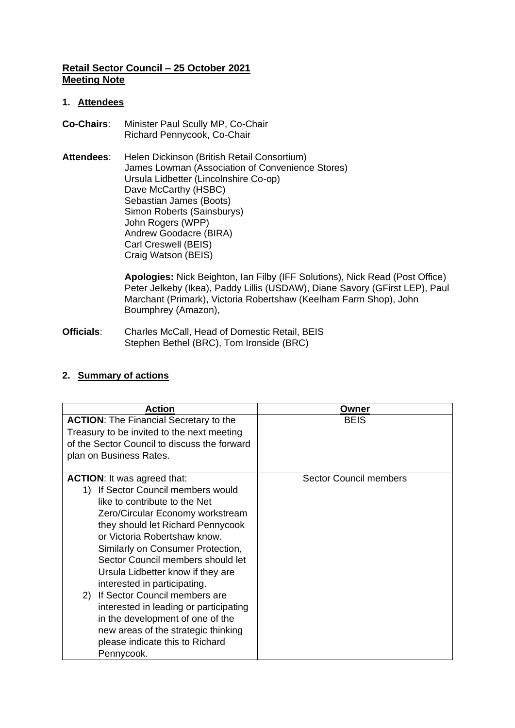# **Retail Sector Council – 25 October 2021 Meeting Note**

#### **1. Attendees**

- **Co-Chairs**: Minister Paul Scully MP, Co-Chair Richard Pennycook, Co-Chair
- Attendees: Helen Dickinson (British Retail Consortium) James Lowman (Association of Convenience Stores) Ursula Lidbetter (Lincolnshire Co-op) Dave McCarthy (HSBC) Sebastian James (Boots) Simon Roberts (Sainsburys) John Rogers (WPP) Andrew Goodacre (BIRA) Carl Creswell (BEIS) Craig Watson (BEIS)

**Apologies:** Nick Beighton, Ian Filby (IFF Solutions), Nick Read (Post Office) Peter Jelkeby (Ikea), Paddy Lillis (USDAW), Diane Savory (GFirst LEP), Paul Marchant (Primark), Victoria Robertshaw (Keelham Farm Shop), John Boumphrey (Amazon),

**Officials**: Charles McCall, Head of Domestic Retail, BEIS Stephen Bethel (BRC), Tom Ironside (BRC)

# **2. Summary of actions**

| <b>Action</b>                                                                                                                                                                                                                                                                                                                                                                                                                                                                                                                                                                   | Owner                         |
|---------------------------------------------------------------------------------------------------------------------------------------------------------------------------------------------------------------------------------------------------------------------------------------------------------------------------------------------------------------------------------------------------------------------------------------------------------------------------------------------------------------------------------------------------------------------------------|-------------------------------|
| <b>ACTION:</b> The Financial Secretary to the<br>Treasury to be invited to the next meeting<br>of the Sector Council to discuss the forward<br>plan on Business Rates.                                                                                                                                                                                                                                                                                                                                                                                                          | <b>BEIS</b>                   |
| <b>ACTION:</b> It was agreed that:<br>1) If Sector Council members would<br>like to contribute to the Net<br>Zero/Circular Economy workstream<br>they should let Richard Pennycook<br>or Victoria Robertshaw know.<br>Similarly on Consumer Protection,<br>Sector Council members should let<br>Ursula Lidbetter know if they are<br>interested in participating.<br>If Sector Council members are<br>(2)<br>interested in leading or participating<br>in the development of one of the<br>new areas of the strategic thinking<br>please indicate this to Richard<br>Pennycook. | <b>Sector Council members</b> |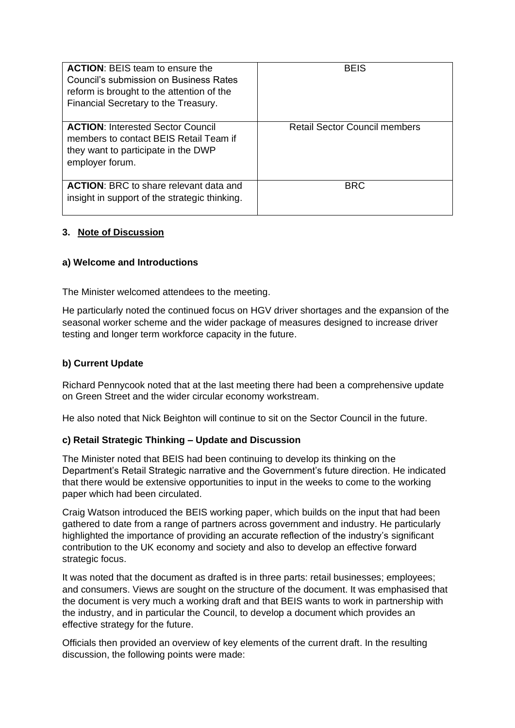| <b>ACTION: BEIS team to ensure the</b><br>Council's submission on Business Rates<br>reform is brought to the attention of the<br>Financial Secretary to the Treasury. | <b>BEIS</b>                          |
|-----------------------------------------------------------------------------------------------------------------------------------------------------------------------|--------------------------------------|
| <b>ACTION:</b> Interested Sector Council<br>members to contact BEIS Retail Team if<br>they want to participate in the DWP<br>employer forum.                          | <b>Retail Sector Council members</b> |
| <b>ACTION:</b> BRC to share relevant data and<br>insight in support of the strategic thinking.                                                                        | <b>BRC</b>                           |

### **3. Note of Discussion**

### **a) Welcome and Introductions**

The Minister welcomed attendees to the meeting.

He particularly noted the continued focus on HGV driver shortages and the expansion of the seasonal worker scheme and the wider package of measures designed to increase driver testing and longer term workforce capacity in the future.

# **b) Current Update**

Richard Pennycook noted that at the last meeting there had been a comprehensive update on Green Street and the wider circular economy workstream.

He also noted that Nick Beighton will continue to sit on the Sector Council in the future.

### **c) Retail Strategic Thinking – Update and Discussion**

The Minister noted that BEIS had been continuing to develop its thinking on the Department's Retail Strategic narrative and the Government's future direction. He indicated that there would be extensive opportunities to input in the weeks to come to the working paper which had been circulated.

Craig Watson introduced the BEIS working paper, which builds on the input that had been gathered to date from a range of partners across government and industry. He particularly highlighted the importance of providing an accurate reflection of the industry's significant contribution to the UK economy and society and also to develop an effective forward strategic focus.

It was noted that the document as drafted is in three parts: retail businesses; employees; and consumers. Views are sought on the structure of the document. It was emphasised that the document is very much a working draft and that BEIS wants to work in partnership with the industry, and in particular the Council, to develop a document which provides an effective strategy for the future.

Officials then provided an overview of key elements of the current draft. In the resulting discussion, the following points were made: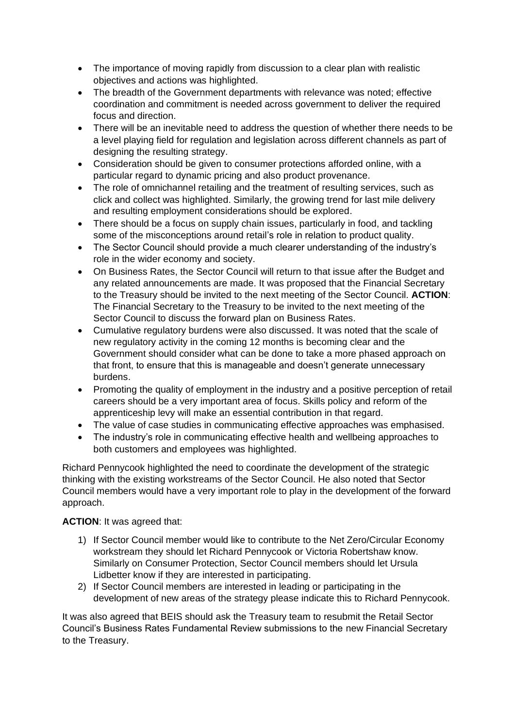- The importance of moving rapidly from discussion to a clear plan with realistic objectives and actions was highlighted.
- The breadth of the Government departments with relevance was noted; effective coordination and commitment is needed across government to deliver the required focus and direction.
- There will be an inevitable need to address the question of whether there needs to be a level playing field for regulation and legislation across different channels as part of designing the resulting strategy.
- Consideration should be given to consumer protections afforded online, with a particular regard to dynamic pricing and also product provenance.
- The role of omnichannel retailing and the treatment of resulting services, such as click and collect was highlighted. Similarly, the growing trend for last mile delivery and resulting employment considerations should be explored.
- There should be a focus on supply chain issues, particularly in food, and tackling some of the misconceptions around retail's role in relation to product quality.
- The Sector Council should provide a much clearer understanding of the industry's role in the wider economy and society.
- On Business Rates, the Sector Council will return to that issue after the Budget and any related announcements are made. It was proposed that the Financial Secretary to the Treasury should be invited to the next meeting of the Sector Council. **ACTION**: The Financial Secretary to the Treasury to be invited to the next meeting of the Sector Council to discuss the forward plan on Business Rates.
- Cumulative regulatory burdens were also discussed. It was noted that the scale of new regulatory activity in the coming 12 months is becoming clear and the Government should consider what can be done to take a more phased approach on that front, to ensure that this is manageable and doesn't generate unnecessary burdens.
- Promoting the quality of employment in the industry and a positive perception of retail careers should be a very important area of focus. Skills policy and reform of the apprenticeship levy will make an essential contribution in that regard.
- The value of case studies in communicating effective approaches was emphasised.
- The industry's role in communicating effective health and wellbeing approaches to both customers and employees was highlighted.

Richard Pennycook highlighted the need to coordinate the development of the strategic thinking with the existing workstreams of the Sector Council. He also noted that Sector Council members would have a very important role to play in the development of the forward approach.

# **ACTION**: It was agreed that:

- 1) If Sector Council member would like to contribute to the Net Zero/Circular Economy workstream they should let Richard Pennycook or Victoria Robertshaw know. Similarly on Consumer Protection, Sector Council members should let Ursula Lidbetter know if they are interested in participating.
- 2) If Sector Council members are interested in leading or participating in the development of new areas of the strategy please indicate this to Richard Pennycook.

It was also agreed that BEIS should ask the Treasury team to resubmit the Retail Sector Council's Business Rates Fundamental Review submissions to the new Financial Secretary to the Treasury.